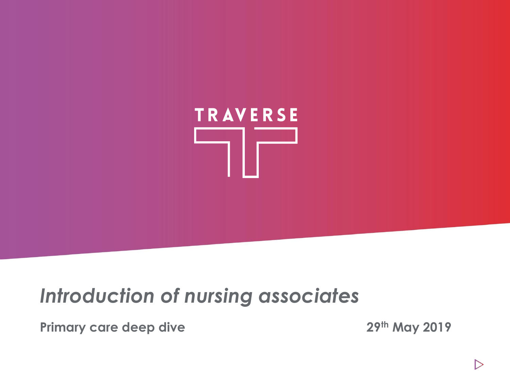

# *Introduction of nursing associates*

**Primary care deep dive 29th May 2019**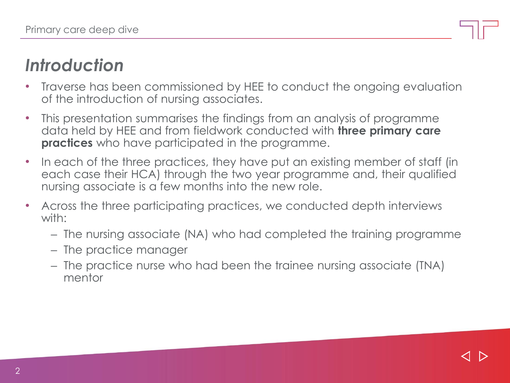# *Introduction*

- Traverse has been commissioned by HEE to conduct the ongoing evaluation of the introduction of nursing associates.
- This presentation summarises the findings from an analysis of programme data held by HEE and from fieldwork conducted with **three primary care practices** who have participated in the programme.
- In each of the three practices, they have put an existing member of staff (in each case their HCA) through the two year programme and, their qualified nursing associate is a few months into the new role.
- Across the three participating practices, we conducted depth interviews with:
	- The nursing associate (NA) who had completed the training programme
	- The practice manager
	- The practice nurse who had been the trainee nursing associate (TNA) mentor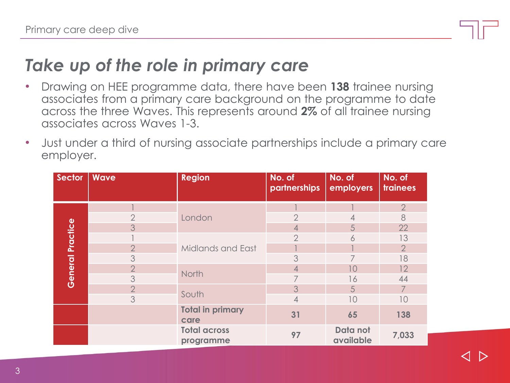### *Take up of the role in primary care*

- Drawing on HEE programme data, there have been **138** trainee nursing associates from a primary care background on the programme to date across the three Waves. This represents around **2%** of all trainee nursing associates across Waves 1-3.
- Just under a third of nursing associate partnerships include a primary care employer.

| Sector           | <b>Wave</b>    | <b>Region</b>                    | No. of<br>partnerships | No. of<br>employers   | No. of<br>trainees |
|------------------|----------------|----------------------------------|------------------------|-----------------------|--------------------|
| General Practice |                | London                           |                        |                       | $\overline{2}$     |
|                  | $\overline{2}$ |                                  | $\overline{2}$         | 4                     | 8                  |
|                  | 3              |                                  | 4                      | 5                     | 22                 |
|                  |                | Midlands and East                | $\overline{2}$         | 6                     | 13                 |
|                  | $\overline{2}$ |                                  |                        |                       | $\overline{2}$     |
|                  | 3              |                                  | 3                      |                       | 18                 |
|                  | $\overline{2}$ | North                            | 4                      | 10                    | 12                 |
|                  | 3              |                                  | 7                      | 16                    | 44                 |
|                  | $\overline{2}$ | South                            | 3                      | 5                     | $\overline{7}$     |
|                  | 3              |                                  | 4                      | 10                    | 10                 |
|                  |                | <b>Total in primary</b><br>care  | 31                     | 65                    | 138                |
|                  |                | <b>Total across</b><br>programme | 97                     | Data not<br>available | 7,033              |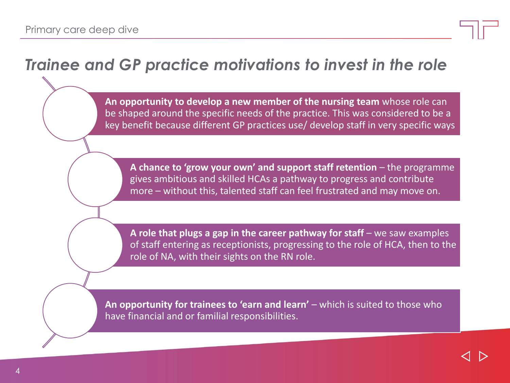#### *Trainee and GP practice motivations to invest in the role*

**An opportunity to develop a new member of the nursing team** whose role can be shaped around the specific needs of the practice. This was considered to be a key benefit because different GP practices use/ develop staff in very specific ways

A chance to 'grow your own' and support staff retention – the programme gives ambitious and skilled HCAs a pathway to progress and contribute more – without this, talented staff can feel frustrated and may move on.

A role that plugs a gap in the career pathway for staff – we saw examples of staff entering as receptionists, progressing to the role of HCA, then to the role of NA, with their sights on the RN role.

An opportunity for trainees to 'earn and learn' – which is suited to those who have financial and or familial responsibilities.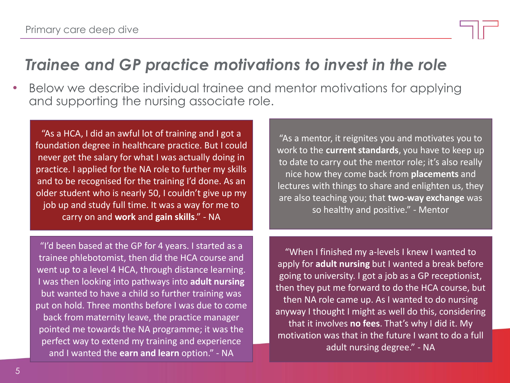#### *Trainee and GP practice motivations to invest in the role*

• Below we describe individual trainee and mentor motivations for applying and supporting the nursing associate role.

"As a HCA, I did an awful lot of training and I got a foundation degree in healthcare practice. But I could never get the salary for what I was actually doing in practice. I applied for the NA role to further my skills and to be recognised for the training I'd done. As an older student who is nearly 50, I couldn't give up my job up and study full time. It was a way for me to carry on and **work** and **gain skills**." - NA

"As a mentor, it reignites you and motivates you to work to the **current standards**, you have to keep up to date to carry out the mentor role; it's also really nice how they come back from **placements** and lectures with things to share and enlighten us, they are also teaching you; that **two-way exchange** was so healthy and positive." - Mentor

"I'd been based at the GP for 4 years. I started as a trainee phlebotomist, then did the HCA course and went up to a level 4 HCA, through distance learning. I was then looking into pathways into **adult nursing**  but wanted to have a child so further training was put on hold. Three months before I was due to come back from maternity leave, the practice manager pointed me towards the NA programme; it was the perfect way to extend my training and experience and I wanted the **earn and learn** option." - NA

"When I finished my a-levels I knew I wanted to apply for **adult nursing** but I wanted a break before going to university. I got a job as a GP receptionist, then they put me forward to do the HCA course, but then NA role came up. As I wanted to do nursing anyway I thought I might as well do this, considering that it involves **no fees**. That's why I did it. My motivation was that in the future I want to do a full adult nursing degree." - NA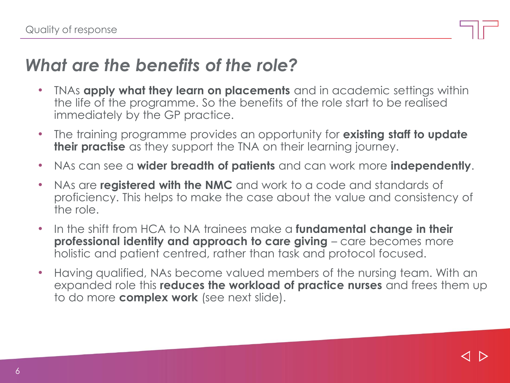#### *What are the benefits of the role?*

- TNAs **apply what they learn on placements** and in academic settings within the life of the programme. So the benefits of the role start to be realised immediately by the GP practice.
- The training programme provides an opportunity for **existing staff to update their practise** as they support the TNA on their learning journey.
- NAs can see a **wider breadth of patients** and can work more **independently**.
- NAs are **registered with the NMC** and work to a code and standards of proficiency. This helps to make the case about the value and consistency of the role.
- In the shift from HCA to NA trainees make a **fundamental change in their professional identity and approach to care giving** – care becomes more holistic and patient centred, rather than task and protocol focused.
- Having qualified, NAs become valued members of the nursing team. With an expanded role this **reduces the workload of practice nurses** and frees them up to do more **complex work** (see next slide).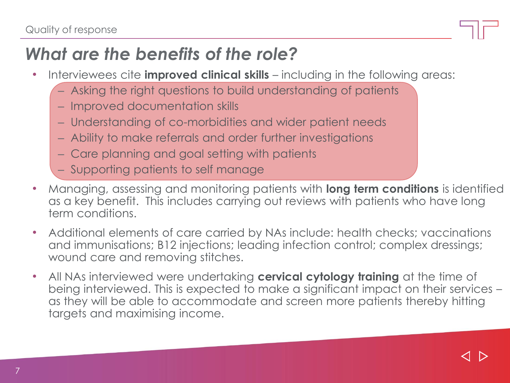# *What are the benefits of the role?*

- Interviewees cite **improved clinical skills**  including in the following areas:
	- Asking the right questions to build understanding of patients
	- Improved documentation skills
	- Understanding of co-morbidities and wider patient needs
	- Ability to make referrals and order further investigations
	- Care planning and goal setting with patients
	- Supporting patients to self manage
- Managing, assessing and monitoring patients with **long term conditions** is identified as a key benefit. This includes carrying out reviews with patients who have long term conditions.
- Additional elements of care carried by NAs include: health checks; vaccinations and immunisations; B12 injections; leading infection control; complex dressings; wound care and removing stitches.
- All NAs interviewed were undertaking **cervical cytology training** at the time of being interviewed. This is expected to make a significant impact on their services – as they will be able to accommodate and screen more patients thereby hitting targets and maximising income.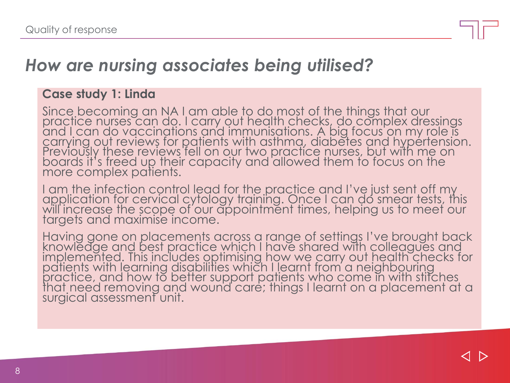

#### *How are nursing associates being utilised?*

#### **Case study 1: Linda**

Since becoming an NA I am able to do most of the things that our practice nurses can do. I carry out health checks, do complex dressings and I can do vaccinations and immunisations. A big focus on my role is carrying out reviews for patients with asthma, diabetes and hypertension. Previously these reviews fell on our two practice nurses, but with me on boards it's freed up their capacity and allowed them to focus on the more complex patients.

I am the infection control lead for the practice and I've just sent off my application for cervical cytology training. Once I can do smear tests, this will increase the scope of our appointment times, helping us to meet our targets and maximise income.

Having gone on placements across a range of settings I've brought back knowledge and best practice which I have shared with colleagues and implemented. This includes optimising how we carry out health checks for patients with learning disabilities which I learnt from a neighbouring practice, and how to better support patients who come in with stitches that need removing and wound care; things I learnt on a placement at a surgical assessment unit.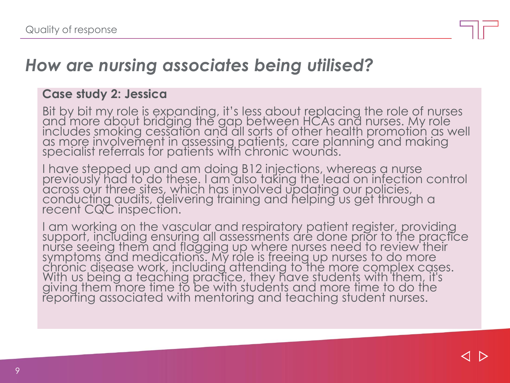

#### *How are nursing associates being utilised?*

#### **Case study 2: Jessica**

Bit by bit my role is expanding, it's less about replacing the role of nurses and more about bridging the gap between HCAs and nurses. My role includes smoking cessation and all sorts of other health promotion as well as more involvement in assessing patients, care planning and making specialist referrals for patients with chronic wounds.

I have stepped up and am doing B12 injections, whereas a nurse previously had to do these. I am also taking the lead on infection control across our three sites, which has involved updating our policies, conducting audits, delivering training and helping us get through a recent CQC inspection.

I am working on the vascular and respiratory patient register, providing support, including ensuring all assessments are done prior to the practice nurse seeing them and flagging up where nurses need to review their symptoms and medications. My role is freeing up nurses to do more chronic disease work, including attending to the more complex cases. With us being a teaching practice, they have students with them, it's giving them more time to be with students and more time to do the reporting associated with mentoring and teaching student nurses.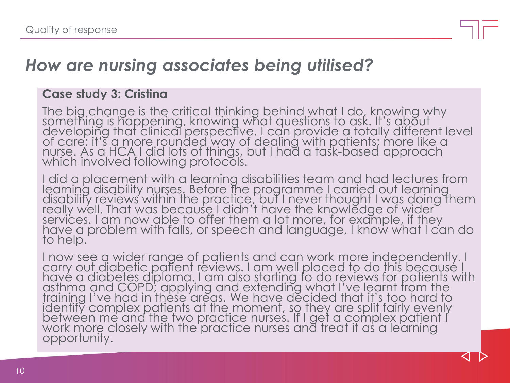#### *How are nursing associates being utilised?*

#### **Case study 3: Cristina**

The big change is the critical thinking behind what I do, knowing why something is happening, knowing what questions to ask. It's about developing that clinical perspective. I can provide a totally different level of care; it's a more rounded way of dealing with patients; more like a nurse. As a HCA I did lots of things, but I had a task-based approach which involved following protocols.

I did a placement with a learning disabilities team and had lectures from learning disability nurses. Before the programme I carried out learning disability reviews within the practice, but I never thought I was doing them really well. That was because I didn't have the knowledge of wider services. I am now able to offer them a lot more, for example, if they have a problem with falls, or speech and language, I know what I can do to help.

I now see a wider range of patients and can work more independently. I carry out diabetic patient reviews. I am well placed to do this because I have a diabetes diploma. I am also starting to do reviews for patients with asthma and COPD; applying and extending what I've learnt from the training I've had in these areas. We have decided that it's too hard to identify complex patients at the moment, so they are split fairly evenly between me and the two practice nurses. If I get a complex patient I work more closely with the practice nurses and treat it as a learning opportunity.

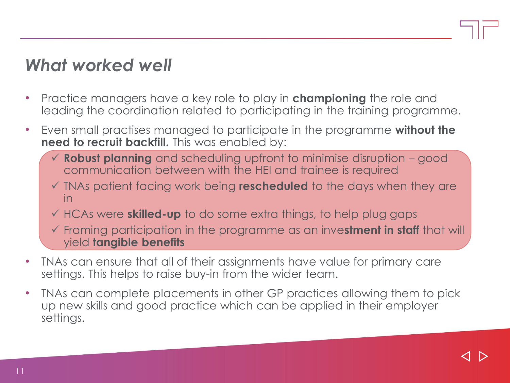### *What worked well*

- Practice managers have a key role to play in **championing** the role and leading the coordination related to participating in the training programme.
- Even small practises managed to participate in the programme **without the need to recruit backfill.** This was enabled by:
	- ✓ **Robust planning** and scheduling upfront to minimise disruption good communication between with the HEI and trainee is required
	- ✓ TNAs patient facing work being **rescheduled** to the days when they are in
	- ✓ HCAs were **skilled-up** to do some extra things, to help plug gaps
	- ✓ Framing participation in the programme as an inve**stment in staff** that will yield **tangible benefits**
- TNAs can ensure that all of their assignments have value for primary care settings. This helps to raise buy-in from the wider team.
- TNAs can complete placements in other GP practices allowing them to pick up new skills and good practice which can be applied in their employer settings.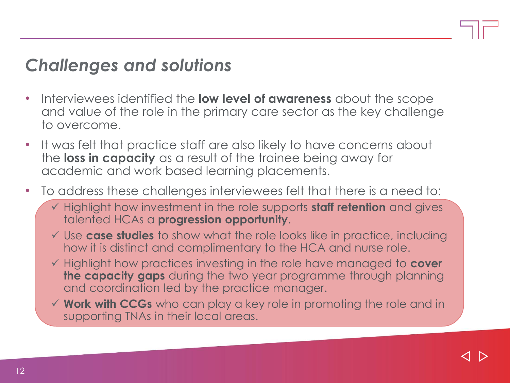### *Challenges and solutions*

- Interviewees identified the **low level of awareness** about the scope and value of the role in the primary care sector as the key challenge to overcome.
- It was felt that practice staff are also likely to have concerns about the **loss in capacity** as a result of the trainee being away for academic and work based learning placements.
- To address these challenges interviewees felt that there is a need to:
	- ✓ Highlight how investment in the role supports **staff retention** and gives talented HCAs a **progression opportunity**.
	- ✓ Use **case studies** to show what the role looks like in practice, including how it is distinct and complimentary to the HCA and nurse role.
	- ✓ Highlight how practices investing in the role have managed to **cover the capacity gaps** during the two year programme through planning and coordination led by the practice manager.
	- ✓ **Work with CCGs** who can play a key role in promoting the role and in supporting TNAs in their local areas.